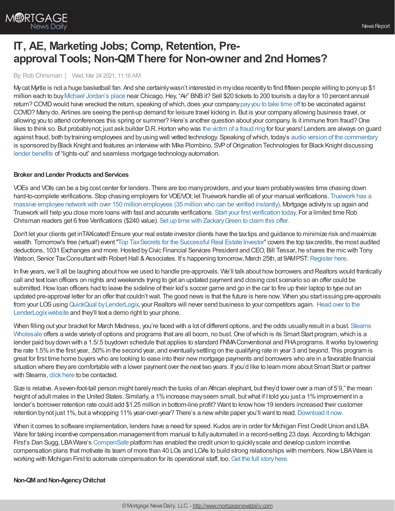

# **IT, AE, Marketing Jobs; Comp, Retention, Preapproval Tools; Non-QMThere for Non-owner and 2nd Homes?**

By:Rob Chrisman | Wed, Mar 24 2021, 11:16 AM

Mycat Myrtle is not a huge basketball fan. And she certainlywasn't interested in myidea recentlyto find fifteen people willing to ponyup \$1 million each to buy Michael [Jordan's](https://nypost.com/2021/03/22/michael-jordans-bulls-era-mansion-still-cant-find-buyer/) place near Chicago. Hey, "Air" BNB it? Sell \$20 tickets to 200 tourists a day for a 10 percent annual return? COVID would have wrecked the return, speaking of which, does your company pay you to take time off to be vaccinated against COVID? Manydo. Airlines are seeing the pent-up demand for leisure travel kicking in. But is your companyallowing business travel, or allowing you to attend conferences this spring or summer? Here's another question about your company. Is it immune from fraud? One likes to think so. But probablynot; just ask builder D.R.Horton who was the [victim](https://www.bizjournals.com/atlanta/news/2021/03/19/dr-horton-mortgage-fraud-scheme-eleven-guilty.html) of a fraud ring for four years! Lenders are always on guard against fraud, both bytraining employees and byusing well vetted technology. Speaking ofwhich, today's audio version of the [commentary](https://linktr.ee/dailymortgagenews) is sponsored by Black Knight and features an interview with Mike Piombino, SVP of Origination Technologies for Black Knight discussing lender [benefits](https://www.blackknightinc.com/markets-we-serve/mortgage/loan-origination-solutions/?utm_source=chrisman-newsletter&utm_medium=paid-referral&utm_campaign=OT_Empower_Rob-Chrisman-Podcast&utm_content=los-industry-leader) of "lights-out" and seamless mortgage technologyautomation.

#### **Broker** and Lender Products and Services

VOEs and VOIs can be a big cost center for lenders. There are too manyproviders, and your team probablywastes time chasing down [hard-to-complete](https://l.linklyhq.com/l/NcFh) verifications. Stop chasing employers for VOE/VOI; let Truework handle all of your manual verifications. Truework has a massive employee network with over 150 million employees (35 million who can be verified instantly). Mortgage activity is up again and Trueworkwill help you close more loans with fast and accurate verifications. Start your first [verification](https://l.linklyhq.com/l/NcFu) today. For a limited time Rob Chrisman readers get 6 free Verifications (\$240 value). Set up time with [ZackaryGreen](https://l.linklyhq.com/l/NcG2) to claim this offer.

Don't let your clients get inTAXicated! Ensure your real estate investor clients have the taxtips and guidance to minimize risk and maximize wealth. Tomorrow's free (virtual!) event"Top [TaxSecrets](https://bit.ly/3coumrb) for the Successful Real Estate Investor" covers the top taxcredits, the most audited deductions, 1031 Exchanges and more. Hosted by Civic Financial Services President and CEO, Bill Tessar, he shares the mic with Tony Watson, Senior Tax Consultant with Robert Hall & Associates. It's happening tomorrow, March 25th, at 9AMPST: [Register](https://bit.ly/3coumrb) here.

In five years, we'll all be laughing about how we used to handle pre-approvals. We'll talk about how borrowers and Realtors would frantically call and text loan officers on nights and weekends trying to get an updated payment and closing cost scenario so an offer could be submitted. How loan officers had to leave the sideline of their kid's soccer game and go in the car to fire up their laptop to type out an updated pre-approval letter for an offer that couldn'twait. The good news is that the future is here now. When you start issuing pre-approvals from your LOS using QuickQual by LenderLogix, your Realtors will never send business to your competitors again. Head over to the LenderLogixwebsite and they'll text a demo right to your phone.

When filling out your bracket for March Madness, you're faced with a lot of different options, and the odds usuallyresult in a bust. Stearns Wholesale offers a wide variety of options and programs that are all boom, no bust. One of which is its Smart Start program, which is a lender paid buydown with a 1.5/.5 buydown schedule that applies to standard FNMAConventional and FHAprograms. Itworks bylowering the rate 1.5%in the first year, .50%in the second year, and eventuallysettling on the qualifying rate in year 3 and beyond. This program is great for first time home buyers who are looking to ease into their new mortgage payments and borrowers who are in a favorable financial situation where they are comfortable with a lower payment over the next two years. If you'd like to learn more about Smart Start or partner with Stearns, click [here](https://sites.totalexpert.net/event-registration/new-broker---chrisman-387548) to be contacted.

Size is relative. A seven-foot-tall person might barely reach the tusks of an African elephant, but they'd tower over a man of 5'9," the mean height of adult males in the United States. Similarly, a 1% increase may seem small, but what if I told you just a 1% improvement in a lender's borrower retention rate could add \$1.25 million in bottom-line profit? Want to knowhow19 lenders increased their customer retention bynot just 1%, but a whopping 11% year-over-year? There's a new white paper you'll want to read. [Download](https://hubs.ly/H0JL8kS0) it now.

When it comes to software implementation, lenders have a need for speed. Kudos are in order for Michigan First Credit Union and LBA Ware for taking incentive compensation management from manual to fully automated in a record-setting 23 days. According to Michigan First's Dan Sugg, LBAWare's [CompenSafe](https://bit.ly/2NIac32) platform has enabled the credit union to quicklyscale and develop custom incentive compensation plans that motivate its team of more than 40 LOs and LOAs to build strong relationships with members. Now LBA Ware is working with Michigan First to automate compensation for its operational staff, too. Get the full story here.

#### **Non-QMandNon-AgencyChitchat**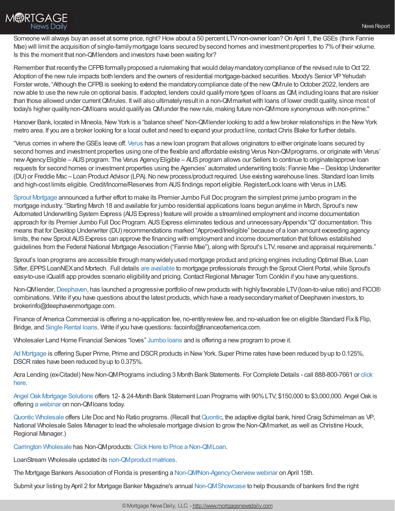

Someone will always buy an asset at some price, right? How about a 50 percent LTV non-owner loan? On April 1, the GSEs (think Fannie Mae) will limit the acquisition of single-familymortgage loans secured bysecond homes and investment properties to 7%of their volume. Is this the moment that non-QMlenders and investors have been waiting for?

Remember that recently the CFPB formally proposed a rulemaking that would delay mandatory compliance of the revised rule to Oct '22. Adoption of the new rule impacts both lenders and the owners of residential mortgage-backed securities. Moody's Senior VP Yehudah Forster wrote, "Although the CFPB is seeking to extend the mandatory compliance date of the new QMrule to October 2022, lenders are nowable to use the newrule on optional basis. If adopted, lenders could qualifymore types of loans as QM, including loans that are riskier than those allowed under currentQMrules. Itwill also ultimatelyresult in a non-QMmarketwith loans of lower credit quality, since most of today's higher qualitynon-QMloans would qualifyas QMunder the newrule, making future non-QMmore synonymous with non-prime."

Hanover Bank, located in Mineola, New York is a "balance sheet" Non-QMIender looking to add a few broker relationships in the New York metro area. If you are a broker looking for a local outlet and need to expand your product line, contactChris Blake for further details.

"Verus comes in where theGSEs leave off. [Verus](https://verusmc.com/our-programs/) has a newloan program that allows originators to either originate loans secured by second homes and investment properties using one of the flexible and affordable existing Verus Non-QMprograms, or originate with Verus' new Agency Eligible – AUS program. The Verus Agency Eligible – AUS program allows our Sellers to continue to originate/approve loan requests for second homes or investment properties using the Agencies' automated underwriting tools: Fannie Mae – Desktop Underwriter (DU) or Freddie Mac – Loan Product Advisor (LPA). No new process/product required. Use existing warehouse lines. Standard loan limits and high-cost limits eligible. Credit/Income/Reserves from AUS findings report eligible. Register/Lock loans with Verus in LMS.

Sprout [Mortgage](https://www.sproutwholesale.com/about-us) announced a further effort to make its Premier Jumbo Full Doc program the simplest prime jumbo program in the mortgage industry. "Starting March 18 and available for jumbo residential applications loans begun anytime in March, Sprout's new Automated Underwriting System Express (AUSExpress) feature will provide a streamlined employment and income documentation approach for its Premier Jumbo Full Doc Program. AUS Express eliminates tedious and unnecessary Appendix "Q" documentation. This means that for Desktop Underwriter (DU) recommendations marked "Approved/Ineligible" because of a loan amount exceeding agency limits, the new Sprout AUS Express can approve the financing with employment and income documentation that follows established guidelines from the Federal National Mortgage Association ("Fannie Mae"), along with Sprout's LTV, reserve and appraisal requirements."

Sprout's loan programs are accessible through many widely used mortgage product and pricing engines including Optimal Blue, Loan Sifter, EPPS LoanNEX and Mortech. Full details are [available](https://www.sproutmortgage.com/) to mortgage professionals through the Sprout Client Portal, while Sprout's easy-to-use iQualifi app provides scenario eligibility and pricing. Contact Regional Manager Tom Conklin if you have any questions.

Non-QMIender, [Deephaven](https://deephavenmortgage.com/), has launched a progressive portfolio of new products with highly favorable LTV (loan-to-value ratio) and FICO® combinations. Write if you have questions about the latest products, which have a ready secondary market of Deephaven investors, to brokerinfo@deephavenmortgage.com.

Finance of America Commercial is offering a no-application fee, no-entity review fee, and no-valuation fee on eligible Standard Fix & Flip, Bridge, and Single [Rental](https://www.foacommercial.com/) loans. Write if you have questions: facoinfo@financeofamerica.com.

Wholesaler Land Home Financial Services "loves" [Jumbo](https://go.lhfs.com/webmail/74122/589604374/698a6701df071644bb9b42187f665203c913a4a03c0cfb3e245b16942a26196f) loans and is offering a newprogram to prove it.

Ad [Mortgage](https://admortgage.com/our-programs/) is offering Super Prime, Prime and DSCR products in New York. Super Prime rates have been reduced by up to 0.125%, DSCR rates have been reduced by up to 0.375%.

Acra Lending (ex-Citadel) New Non-QMPrograms including 3 Month Bank Statements. For Complete Details - call 888-800-7661 or click here.

Angel Oak Mortgage [Solutions](https://angeloakms.com/program/bank-statement-mortgage-program/) offers 12- &24-Month Bank Statement Loan Programs with 90%LTV, \$150,000 to \$3,000,000. Angel Oak is offering a [webinar](https://www.bigmarker.com/KeyMediaWebinars/Why-So-Many-Originators-Are-Becoming-Non-QM-Experts?) on non-QMloans today.

Quontic [Wholesale](https://quonticwholesale.com/) offers Lite Doc and No Ratio programs. (Recall that[Quontic](https://www.quonticbank.com/), the adaptive digital bank, hired Craig Schimelman as VP, National Wholesale Sales Manager to lead the wholesale mortgage division to growthe Non-QMmarket, as well as Christine Houck, Regional Manager.)

Carrington [Wholesale](https://www.carringtonwholesale.com/loan-products/) has Non-QMproducts: Click Here to Price a [Non-QMLoan](https://carringtonwholesale.pricerone.com/v2/).

LoanStream Wholesale updated its [non-QMproduct](https://loanstreamwholesale.com/non-conforming-wholesale-loan-programs/) matrices.

The Mortgage Bankers Association of Florida is presenting a [Non-QM/Non-AgencyOverviewwebinar](https://register.gotowebinar.com/register/5177130077167083280) on April 15th.

Submit your listing byApril 2 for Mortgage Banker Magazine's annual [Non-QMShowcase](https://ambiz.wufoo.com/forms/mortgage-banker-2021-nonqm-showcase/) to help thousands of bankers find the right